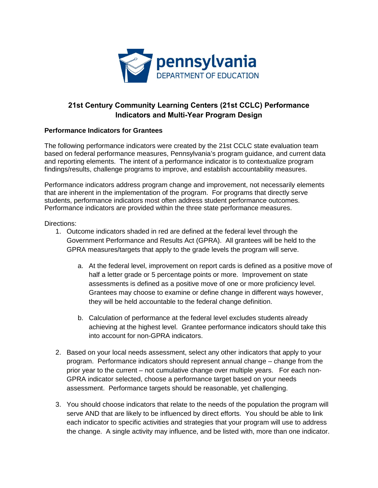

# **21st Century Community Learning Centers (21st CCLC) Performance Indicators and Multi-Year Program Design**

#### **Performance Indicators for Grantees**

 and reporting elements. The intent of a performance indicator is to contextualize program findings/results, challenge programs to improve, and establish accountability measures. The following performance indicators were created by the 21st CCLC state evaluation team based on federal performance measures, Pennsylvania's program guidance, and current data

students, performance indicators most often address student performance outcomes. Ferformance indicators address program change and improvement, not necessarily elements that are inherent in the implementation of the program. For programs that directly serve Performance indicators are provided within the three state performance measures.

Directions:

- Government Performance and Results Act (GPRA). All grantees will be held to the 1. Outcome indicators shaded in red are defined at the federal level through the GPRA measures/targets that apply to the grade levels the program will serve.
	- a. At the federal level, improvement on report cards is defined as a positive move of assessments is defined as a positive move of one or more proficiency level. they will be held accountable to the federal change definition. half a letter grade or 5 percentage points or more. Improvement on state Grantees may choose to examine or define change in different ways however,
	- b. Calculation of performance at the federal level excludes students already achieving at the highest level. Grantee performance indicators should take this into account for non-GPRA indicators.
- program. Performance indicators should represent annual change change from the prior year to the current – not cumulative change over multiple years. For each non-2. Based on your local needs assessment, select any other indicators that apply to your GPRA indicator selected, choose a performance target based on your needs assessment. Performance targets should be reasonable, yet challenging.
- the change. A single activity may influence, and be listed with, more than one indicator.3. You should choose indicators that relate to the needs of the population the program will serve AND that are likely to be influenced by direct efforts. You should be able to link each indicator to specific activities and strategies that your program will use to address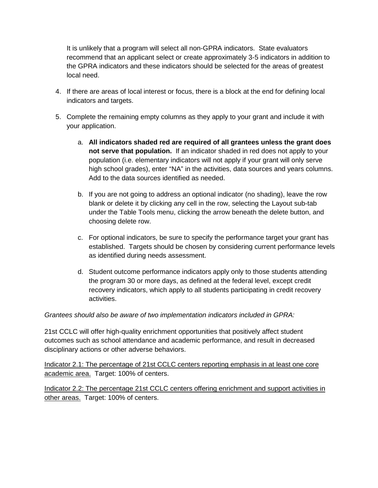the GPRA indicators and these indicators should be selected for the areas of greatest It is unlikely that a program will select all non-GPRA indicators. State evaluators recommend that an applicant select or create approximately 3-5 indicators in addition to local need.

- 4. If there are areas of local interest or focus, there is a block at the end for defining local indicators and targets.
- your application. 5. Complete the remaining empty columns as they apply to your grant and include it with
	- high school grades), enter "NA" in the activities, data sources and years columns. a. **All indicators shaded red are required of all grantees unless the grant does not serve that population.** If an indicator shaded in red does not apply to your population (i.e. elementary indicators will not apply if your grant will only serve Add to the data sources identified as needed.
	- b. If you are not going to address an optional indicator (no shading), leave the row blank or delete it by clicking any cell in the row, selecting the Layout sub-tab under the Table Tools menu, clicking the arrow beneath the delete button, and choosing delete row.
	- c. For optional indicators, be sure to specify the performance target your grant has established. Targets should be chosen by considering current performance levels as identified during needs assessment.
	- d. Student outcome performance indicators apply only to those students attending the program 30 or more days, as defined at the federal level, except credit recovery indicators, which apply to all students participating in credit recovery activities.

# *Grantees should also be aware of two implementation indicators included in GPRA:*

21st CCLC will offer high-quality enrichment opportunities that positively affect student outcomes such as school attendance and academic performance, and result in decreased disciplinary actions or other adverse behaviors.

 Indicator 2.1: The percentage of 21st CCLC centers reporting emphasis in at least one core academic area. Target: 100% of centers.

other areas. Target: 100% of centers. Indicator 2.2: The percentage 21st CCLC centers offering enrichment and support activities in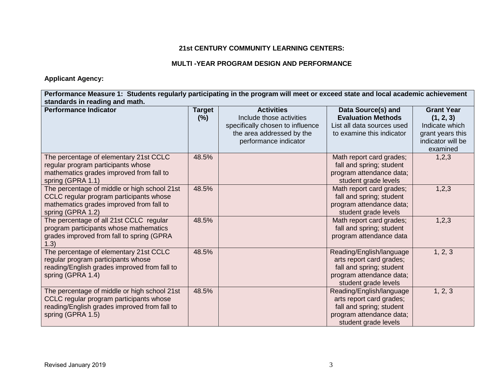## **21st CENTURY COMMUNITY LEARNING CENTERS:**

## **MULTI -YEAR PROGRAM DESIGN AND PERFORMANCE**

 **Applicant Agency:** 

 **Performance Measure 1: Students regularly participating in the program will meet or exceed state and local academic achievement standards in reading and math.** 

| <b>Performance Indicator</b>                 | <b>Target</b> | <b>Activities</b>                | Data Source(s) and         | <b>Grant Year</b> |
|----------------------------------------------|---------------|----------------------------------|----------------------------|-------------------|
|                                              | (% )          | Include those activities         | <b>Evaluation Methods</b>  | (1, 2, 3)         |
|                                              |               | specifically chosen to influence | List all data sources used | Indicate which    |
|                                              |               | the area addressed by the        | to examine this indicator  | grant years this  |
|                                              |               | performance indicator            |                            | indicator will be |
|                                              |               |                                  |                            | examined          |
| The percentage of elementary 21st CCLC       | 48.5%         |                                  | Math report card grades;   | 1,2,3             |
| regular program participants whose           |               |                                  | fall and spring; student   |                   |
| mathematics grades improved from fall to     |               |                                  | program attendance data;   |                   |
| spring (GPRA 1.1)                            |               |                                  | student grade levels       |                   |
| The percentage of middle or high school 21st | 48.5%         |                                  | Math report card grades;   | 1,2,3             |
| CCLC regular program participants whose      |               |                                  | fall and spring; student   |                   |
| mathematics grades improved from fall to     |               |                                  | program attendance data;   |                   |
| spring (GPRA 1.2)                            |               |                                  | student grade levels       |                   |
| The percentage of all 21st CCLC regular      | 48.5%         |                                  | Math report card grades;   | 1,2,3             |
| program participants whose mathematics       |               |                                  | fall and spring; student   |                   |
| grades improved from fall to spring (GPRA    |               |                                  | program attendance data    |                   |
| 1.3)                                         |               |                                  |                            |                   |
| The percentage of elementary 21st CCLC       | 48.5%         |                                  | Reading/English/language   | 1, 2, 3           |
| regular program participants whose           |               |                                  | arts report card grades;   |                   |
| reading/English grades improved from fall to |               |                                  | fall and spring; student   |                   |
| spring (GPRA 1.4)                            |               |                                  | program attendance data;   |                   |
|                                              |               |                                  | student grade levels       |                   |
| The percentage of middle or high school 21st | 48.5%         |                                  | Reading/English/language   | 1, 2, 3           |
| CCLC regular program participants whose      |               |                                  | arts report card grades;   |                   |
| reading/English grades improved from fall to |               |                                  | fall and spring; student   |                   |
| spring (GPRA 1.5)                            |               |                                  | program attendance data;   |                   |
|                                              |               |                                  | student grade levels       |                   |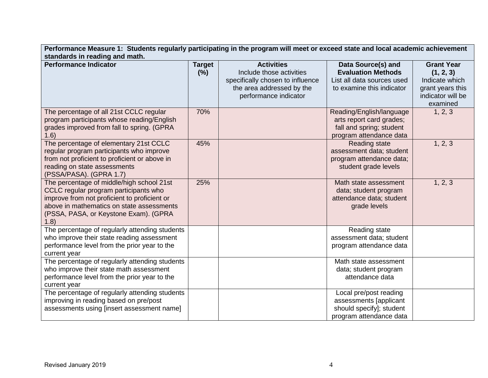| Performance Measure 1: Students regularly participating in the program will meet or exceed state and local academic achievement                                                                                                   |                      |                                                                                                                                         |                                                                                                             |                                                                                                       |  |  |
|-----------------------------------------------------------------------------------------------------------------------------------------------------------------------------------------------------------------------------------|----------------------|-----------------------------------------------------------------------------------------------------------------------------------------|-------------------------------------------------------------------------------------------------------------|-------------------------------------------------------------------------------------------------------|--|--|
| standards in reading and math.                                                                                                                                                                                                    |                      |                                                                                                                                         |                                                                                                             |                                                                                                       |  |  |
| <b>Performance Indicator</b>                                                                                                                                                                                                      | <b>Target</b><br>(%) | <b>Activities</b><br>Include those activities<br>specifically chosen to influence<br>the area addressed by the<br>performance indicator | Data Source(s) and<br><b>Evaluation Methods</b><br>List all data sources used<br>to examine this indicator  | <b>Grant Year</b><br>(1, 2, 3)<br>Indicate which<br>grant years this<br>indicator will be<br>examined |  |  |
| The percentage of all 21st CCLC regular<br>program participants whose reading/English<br>grades improved from fall to spring. (GPRA<br>1.6)                                                                                       | 70%                  |                                                                                                                                         | Reading/English/language<br>arts report card grades;<br>fall and spring; student<br>program attendance data | 1, 2, 3                                                                                               |  |  |
| The percentage of elementary 21st CCLC<br>regular program participants who improve<br>from not proficient to proficient or above in<br>reading on state assessments<br>(PSSA/PASA). (GPRA 1.7)                                    | 45%                  |                                                                                                                                         | <b>Reading state</b><br>assessment data; student<br>program attendance data;<br>student grade levels        | 1, 2, 3                                                                                               |  |  |
| The percentage of middle/high school 21st<br>CCLC regular program participants who<br>improve from not proficient to proficient or<br>above in mathematics on state assessments<br>(PSSA, PASA, or Keystone Exam). (GPRA<br>(1.8) | 25%                  |                                                                                                                                         | Math state assessment<br>data; student program<br>attendance data; student<br>grade levels                  | 1, 2, 3                                                                                               |  |  |
| The percentage of regularly attending students<br>who improve their state reading assessment<br>performance level from the prior year to the<br>current year                                                                      |                      |                                                                                                                                         | Reading state<br>assessment data; student<br>program attendance data                                        |                                                                                                       |  |  |
| The percentage of regularly attending students<br>who improve their state math assessment<br>performance level from the prior year to the<br>current year                                                                         |                      |                                                                                                                                         | Math state assessment<br>data; student program<br>attendance data                                           |                                                                                                       |  |  |
| The percentage of regularly attending students<br>improving in reading based on pre/post<br>assessments using [insert assessment name]                                                                                            |                      |                                                                                                                                         | Local pre/post reading<br>assessments [applicant<br>should specify]; student<br>program attendance data     |                                                                                                       |  |  |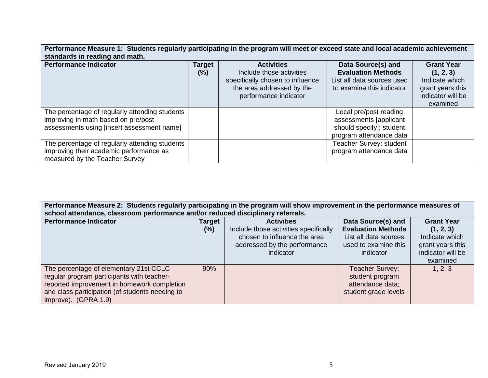| Performance Measure 1: Students regularly participating in the program will meet or exceed state and local academic achievement     |                       |                                                                                                                                         |                                                                                                            |                                                                                                       |  |
|-------------------------------------------------------------------------------------------------------------------------------------|-----------------------|-----------------------------------------------------------------------------------------------------------------------------------------|------------------------------------------------------------------------------------------------------------|-------------------------------------------------------------------------------------------------------|--|
| standards in reading and math.                                                                                                      |                       |                                                                                                                                         |                                                                                                            |                                                                                                       |  |
| <b>Performance Indicator</b>                                                                                                        | <b>Target</b><br>(% ) | <b>Activities</b><br>Include those activities<br>specifically chosen to influence<br>the area addressed by the<br>performance indicator | Data Source(s) and<br><b>Evaluation Methods</b><br>List all data sources used<br>to examine this indicator | <b>Grant Year</b><br>(1, 2, 3)<br>Indicate which<br>grant years this<br>indicator will be<br>examined |  |
| The percentage of regularly attending students<br>improving in math based on pre/post<br>assessments using [insert assessment name] |                       |                                                                                                                                         | Local pre/post reading<br>assessments [applicant<br>should specify]; student<br>program attendance data    |                                                                                                       |  |
| The percentage of regularly attending students<br>improving their academic performance as<br>measured by the Teacher Survey         |                       |                                                                                                                                         | Teacher Survey; student<br>program attendance data                                                         |                                                                                                       |  |

| Performance Measure 2: Students regularly participating in the program will show improvement in the performance measures of<br>school attendance, classroom performance and/or reduced disciplinary referrals. |                       |                                                                                                                                         |                                                                                                               |                                                                                                       |  |
|----------------------------------------------------------------------------------------------------------------------------------------------------------------------------------------------------------------|-----------------------|-----------------------------------------------------------------------------------------------------------------------------------------|---------------------------------------------------------------------------------------------------------------|-------------------------------------------------------------------------------------------------------|--|
| <b>Performance Indicator</b>                                                                                                                                                                                   | <b>Target</b><br>(% ) | <b>Activities</b><br>Include those activities specifically<br>chosen to influence the area<br>addressed by the performance<br>indicator | Data Source(s) and<br><b>Evaluation Methods</b><br>List all data sources<br>used to examine this<br>indicator | <b>Grant Year</b><br>(1, 2, 3)<br>Indicate which<br>grant years this<br>indicator will be<br>examined |  |
| The percentage of elementary 21st CCLC<br>regular program participants with teacher-<br>reported improvement in homework completion<br>and class participation (of students needing to<br>improve). (GPRA 1.9) | 90%                   |                                                                                                                                         | Teacher Survey;<br>student program<br>attendance data;<br>student grade levels                                | 1, 2, 3                                                                                               |  |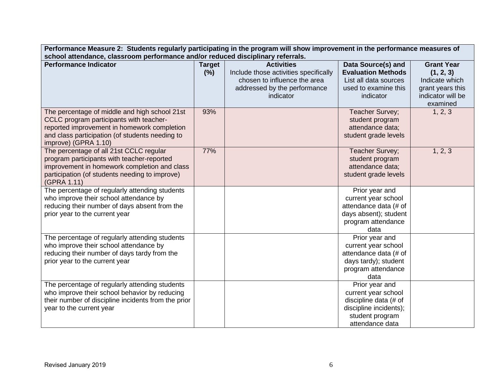| Performance Measure 2: Students regularly participating in the program will show improvement in the performance measures of<br>school attendance, classroom performance and/or reduced disciplinary referrals.     |                       |                                                                                                                                         |                                                                                                                                |                                                                                                       |
|--------------------------------------------------------------------------------------------------------------------------------------------------------------------------------------------------------------------|-----------------------|-----------------------------------------------------------------------------------------------------------------------------------------|--------------------------------------------------------------------------------------------------------------------------------|-------------------------------------------------------------------------------------------------------|
| <b>Performance Indicator</b>                                                                                                                                                                                       | <b>Target</b><br>(% ) | <b>Activities</b><br>Include those activities specifically<br>chosen to influence the area<br>addressed by the performance<br>indicator | Data Source(s) and<br><b>Evaluation Methods</b><br>List all data sources<br>used to examine this<br>indicator                  | <b>Grant Year</b><br>(1, 2, 3)<br>Indicate which<br>grant years this<br>indicator will be<br>examined |
| The percentage of middle and high school 21st<br>CCLC program participants with teacher-<br>reported improvement in homework completion<br>and class participation (of students needing to<br>improve) (GPRA 1.10) | 93%                   |                                                                                                                                         | Teacher Survey;<br>student program<br>attendance data;<br>student grade levels                                                 | 1, 2, 3                                                                                               |
| The percentage of all 21st CCLC regular<br>program participants with teacher-reported<br>improvement in homework completion and class<br>participation (of students needing to improve)<br>(GPRA 1.11)             | 77%                   |                                                                                                                                         | Teacher Survey;<br>student program<br>attendance data;<br>student grade levels                                                 | 1, 2, 3                                                                                               |
| The percentage of regularly attending students<br>who improve their school attendance by<br>reducing their number of days absent from the<br>prior year to the current year                                        |                       |                                                                                                                                         | Prior year and<br>current year school<br>attendance data (# of<br>days absent); student<br>program attendance<br>data          |                                                                                                       |
| The percentage of regularly attending students<br>who improve their school attendance by<br>reducing their number of days tardy from the<br>prior year to the current year                                         |                       |                                                                                                                                         | Prior year and<br>current year school<br>attendance data (# of<br>days tardy); student<br>program attendance<br>data           |                                                                                                       |
| The percentage of regularly attending students<br>who improve their school behavior by reducing<br>their number of discipline incidents from the prior<br>year to the current year                                 |                       |                                                                                                                                         | Prior year and<br>current year school<br>discipline data (# of<br>discipline incidents);<br>student program<br>attendance data |                                                                                                       |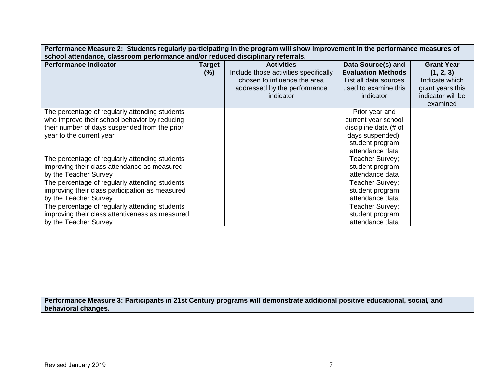| Performance Measure 2: Students regularly participating in the program will show improvement in the performance measures of |        |                                       |                           |                   |  |  |
|-----------------------------------------------------------------------------------------------------------------------------|--------|---------------------------------------|---------------------------|-------------------|--|--|
| school attendance, classroom performance and/or reduced disciplinary referrals.                                             |        |                                       |                           |                   |  |  |
| <b>Performance Indicator</b>                                                                                                | Target | <b>Activities</b>                     | Data Source(s) and        | <b>Grant Year</b> |  |  |
|                                                                                                                             | (% )   | Include those activities specifically | <b>Evaluation Methods</b> | (1, 2, 3)         |  |  |
|                                                                                                                             |        | chosen to influence the area          | List all data sources     | Indicate which    |  |  |
|                                                                                                                             |        | addressed by the performance          | used to examine this      | grant years this  |  |  |
|                                                                                                                             |        | indicator                             | indicator                 | indicator will be |  |  |
|                                                                                                                             |        |                                       |                           | examined          |  |  |
| The percentage of regularly attending students                                                                              |        |                                       | Prior year and            |                   |  |  |
| who improve their school behavior by reducing                                                                               |        |                                       | current year school       |                   |  |  |
| their number of days suspended from the prior                                                                               |        |                                       | discipline data (# of     |                   |  |  |
| year to the current year                                                                                                    |        |                                       | days suspended);          |                   |  |  |
|                                                                                                                             |        |                                       | student program           |                   |  |  |
|                                                                                                                             |        |                                       | attendance data           |                   |  |  |
| The percentage of regularly attending students                                                                              |        |                                       | Teacher Survey;           |                   |  |  |
| improving their class attendance as measured                                                                                |        |                                       | student program           |                   |  |  |
| by the Teacher Survey                                                                                                       |        |                                       | attendance data           |                   |  |  |
| The percentage of regularly attending students                                                                              |        |                                       | Teacher Survey;           |                   |  |  |
| improving their class participation as measured                                                                             |        |                                       | student program           |                   |  |  |
| by the Teacher Survey                                                                                                       |        |                                       | attendance data           |                   |  |  |
| The percentage of regularly attending students                                                                              |        |                                       | Teacher Survey;           |                   |  |  |
| improving their class attentiveness as measured                                                                             |        |                                       | student program           |                   |  |  |
| by the Teacher Survey                                                                                                       |        |                                       | attendance data           |                   |  |  |

**Performance Measure 3: Participants in 21st Century programs will demonstrate additional positive educational, social, and behavioral changes.**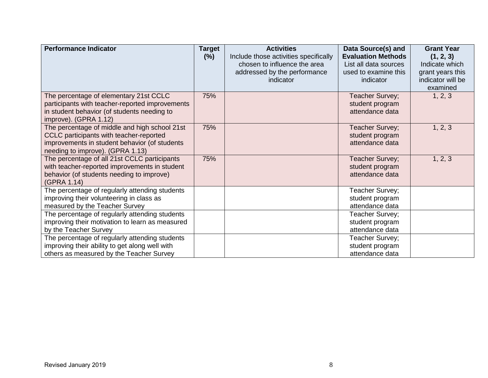| <b>Performance Indicator</b>                                         | <b>Target</b><br>$(\%)$ | <b>Activities</b><br>Include those activities specifically | Data Source(s) and<br><b>Evaluation Methods</b> | <b>Grant Year</b><br>(1, 2, 3) |
|----------------------------------------------------------------------|-------------------------|------------------------------------------------------------|-------------------------------------------------|--------------------------------|
|                                                                      |                         | chosen to influence the area                               | List all data sources                           | Indicate which                 |
|                                                                      |                         | addressed by the performance                               | used to examine this                            | grant years this               |
|                                                                      |                         | indicator                                                  | indicator                                       | indicator will be              |
|                                                                      |                         |                                                            |                                                 | examined                       |
| The percentage of elementary 21st CCLC                               | 75%                     |                                                            | Teacher Survey;                                 | 1, 2, 3                        |
| participants with teacher-reported improvements                      |                         |                                                            | student program                                 |                                |
| in student behavior (of students needing to<br>improve). (GPRA 1.12) |                         |                                                            | attendance data                                 |                                |
| The percentage of middle and high school 21st                        | 75%                     |                                                            | Teacher Survey;                                 | 1, 2, 3                        |
| CCLC participants with teacher-reported                              |                         |                                                            | student program                                 |                                |
| improvements in student behavior (of students                        |                         |                                                            | attendance data                                 |                                |
| needing to improve). (GPRA 1.13)                                     |                         |                                                            |                                                 |                                |
| The percentage of all 21st CCLC participants                         | 75%                     |                                                            | Teacher Survey;                                 | 1, 2, 3                        |
| with teacher-reported improvements in student                        |                         |                                                            | student program                                 |                                |
| behavior (of students needing to improve)                            |                         |                                                            | attendance data                                 |                                |
| (GPRA 1.14)<br>The percentage of regularly attending students        |                         |                                                            | Teacher Survey;                                 |                                |
| improving their volunteering in class as                             |                         |                                                            | student program                                 |                                |
| measured by the Teacher Survey                                       |                         |                                                            | attendance data                                 |                                |
| The percentage of regularly attending students                       |                         |                                                            | Teacher Survey;                                 |                                |
| improving their motivation to learn as measured                      |                         |                                                            | student program                                 |                                |
| by the Teacher Survey                                                |                         |                                                            | attendance data                                 |                                |
| The percentage of regularly attending students                       |                         |                                                            | Teacher Survey;                                 |                                |
| improving their ability to get along well with                       |                         |                                                            | student program                                 |                                |
| others as measured by the Teacher Survey                             |                         |                                                            | attendance data                                 |                                |